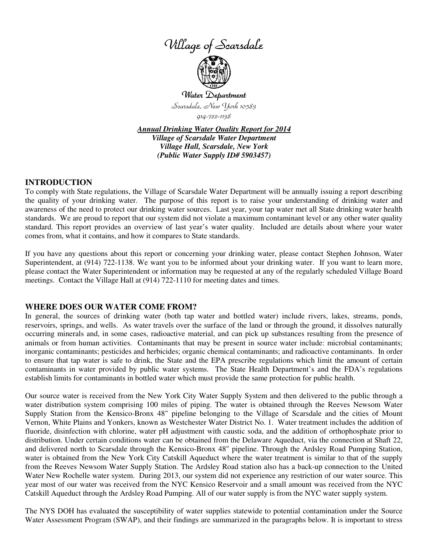



Water Department Scarsdale, New York 10583 914-722-1138

*Annual Drinking Water Quality Report for 2014 Village of Scarsdale Water Department Village Hall, Scarsdale, New York (Public Water Supply ID# 5903457)*

## **INTRODUCTION**

To comply with State regulations, the Village of Scarsdale Water Department will be annually issuing a report describing the quality of your drinking water. The purpose of this report is to raise your understanding of drinking water and awareness of the need to protect our drinking water sources. Last year, your tap water met all State drinking water health standards. We are proud to report that our system did not violate a maximum contaminant level or any other water quality standard. This report provides an overview of last year's water quality. Included are details about where your water comes from, what it contains, and how it compares to State standards.

If you have any questions about this report or concerning your drinking water, please contact Stephen Johnson, Water Superintendent, at (914) 722-1138. We want you to be informed about your drinking water. If you want to learn more, please contact the Water Superintendent or information may be requested at any of the regularly scheduled Village Board meetings. Contact the Village Hall at (914) 722-1110 for meeting dates and times.

### **WHERE DOES OUR WATER COME FROM?**

In general, the sources of drinking water (both tap water and bottled water) include rivers, lakes, streams, ponds, reservoirs, springs, and wells. As water travels over the surface of the land or through the ground, it dissolves naturally occurring minerals and, in some cases, radioactive material, and can pick up substances resulting from the presence of animals or from human activities. Contaminants that may be present in source water include: microbial contaminants; inorganic contaminants; pesticides and herbicides; organic chemical contaminants; and radioactive contaminants. In order to ensure that tap water is safe to drink, the State and the EPA prescribe regulations which limit the amount of certain contaminants in water provided by public water systems. The State Health Department's and the FDA's regulations establish limits for contaminants in bottled water which must provide the same protection for public health.

Our source water is received from the New York City Water Supply System and then delivered to the public through a water distribution system comprising 100 miles of piping. The water is obtained through the Reeves Newsom Water Supply Station from the Kensico-Bronx 48" pipeline belonging to the Village of Scarsdale and the cities of Mount Vernon, White Plains and Yonkers, known as Westchester Water District No. 1. Water treatment includes the addition of fluoride, disinfection with chlorine, water pH adjustment with caustic soda, and the addition of orthophosphate prior to distribution. Under certain conditions water can be obtained from the Delaware Aqueduct, via the connection at Shaft 22, and delivered north to Scarsdale through the Kensico-Bronx 48" pipeline. Through the Ardsley Road Pumping Station, water is obtained from the New York City Catskill Aqueduct where the water treatment is similar to that of the supply from the Reeves Newsom Water Supply Station. The Ardsley Road station also has a back-up connection to the United Water New Rochelle water system. During 2013, our system did not experience any restriction of our water source. This year most of our water was received from the NYC Kensico Reservoir and a small amount was received from the NYC Catskill Aqueduct through the Ardsley Road Pumping. All of our water supply is from the NYC water supply system.

The NYS DOH has evaluated the susceptibility of water supplies statewide to potential contamination under the Source Water Assessment Program (SWAP), and their findings are summarized in the paragraphs below. It is important to stress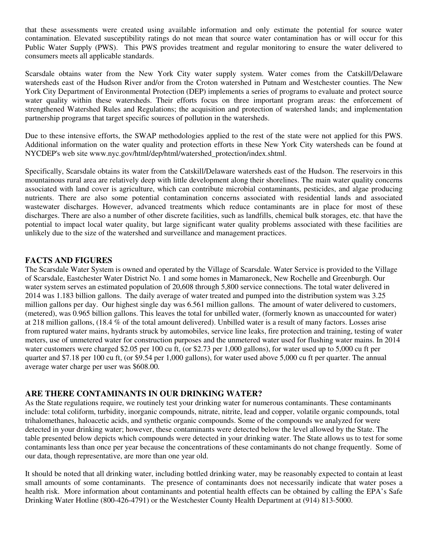that these assessments were created using available information and only estimate the potential for source water contamination. Elevated susceptibility ratings do not mean that source water contamination has or will occur for this Public Water Supply (PWS). This PWS provides treatment and regular monitoring to ensure the water delivered to consumers meets all applicable standards.

Scarsdale obtains water from the New York City water supply system. Water comes from the Catskill/Delaware watersheds east of the Hudson River and/or from the Croton watershed in Putnam and Westchester counties. The New York City Department of Environmental Protection (DEP) implements a series of programs to evaluate and protect source water quality within these watersheds. Their efforts focus on three important program areas: the enforcement of strengthened Watershed Rules and Regulations; the acquisition and protection of watershed lands; and implementation partnership programs that target specific sources of pollution in the watersheds.

Due to these intensive efforts, the SWAP methodologies applied to the rest of the state were not applied for this PWS. Additional information on the water quality and protection efforts in these New York City watersheds can be found at NYCDEP's web site www.nyc.gov/html/dep/html/watershed\_protection/index.shtml.

Specifically, Scarsdale obtains its water from the Catskill/Delaware watersheds east of the Hudson. The reservoirs in this mountainous rural area are relatively deep with little development along their shorelines. The main water quality concerns associated with land cover is agriculture, which can contribute microbial contaminants, pesticides, and algae producing nutrients. There are also some potential contamination concerns associated with residential lands and associated wastewater discharges. However, advanced treatments which reduce contaminants are in place for most of these discharges. There are also a number of other discrete facilities, such as landfills, chemical bulk storages, etc. that have the potential to impact local water quality, but large significant water quality problems associated with these facilities are unlikely due to the size of the watershed and surveillance and management practices.

## **FACTS AND FIGURES**

The Scarsdale Water System is owned and operated by the Village of Scarsdale. Water Service is provided to the Village of Scarsdale, Eastchester Water District No. 1 and some homes in Mamaroneck, New Rochelle and Greenburgh. Our water system serves an estimated population of 20,608 through 5,800 service connections. The total water delivered in 2014 was 1.183 billion gallons. The daily average of water treated and pumped into the distribution system was 3.25 million gallons per day. Our highest single day was 6.561 million gallons. The amount of water delivered to customers, (metered), was 0.965 billion gallons. This leaves the total for unbilled water, (formerly known as unaccounted for water) at 218 million gallons, (18.4 % of the total amount delivered). Unbilled water is a result of many factors. Losses arise from ruptured water mains, hydrants struck by automobiles, service line leaks, fire protection and training, testing of water meters, use of unmetered water for construction purposes and the unmetered water used for flushing water mains. In 2014 water customers were charged \$2.05 per 100 cu ft, (or \$2.73 per 1,000 gallons), for water used up to 5,000 cu ft per quarter and \$7.18 per 100 cu ft, (or \$9.54 per 1,000 gallons), for water used above 5,000 cu ft per quarter. The annual average water charge per user was \$608.00.

## **ARE THERE CONTAMINANTS IN OUR DRINKING WATER?**

As the State regulations require, we routinely test your drinking water for numerous contaminants. These contaminants include: total coliform, turbidity, inorganic compounds, nitrate, nitrite, lead and copper, volatile organic compounds, total trihalomethanes, haloacetic acids, and synthetic organic compounds. Some of the compounds we analyzed for were detected in your drinking water; however, these contaminants were detected below the level allowed by the State. The table presented below depicts which compounds were detected in your drinking water. The State allows us to test for some contaminants less than once per year because the concentrations of these contaminants do not change frequently. Some of our data, though representative, are more than one year old.

It should be noted that all drinking water, including bottled drinking water, may be reasonably expected to contain at least small amounts of some contaminants. The presence of contaminants does not necessarily indicate that water poses a health risk. More information about contaminants and potential health effects can be obtained by calling the EPA's Safe Drinking Water Hotline (800-426-4791) or the Westchester County Health Department at (914) 813-5000.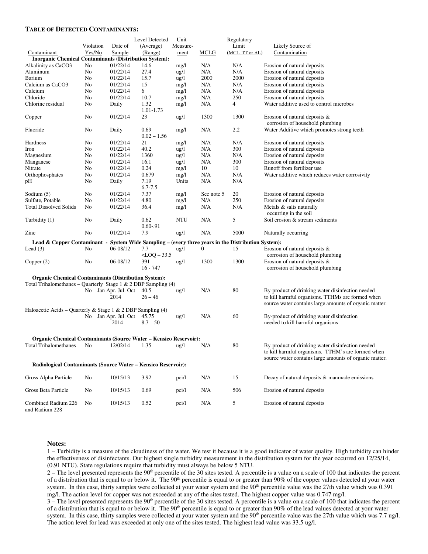#### **TABLE OF DETECTED CONTAMINANTS:**

|                                                                                                       |           |                              | Level Detected        | Unit            |              | Regulatory      |                                                                                                             |
|-------------------------------------------------------------------------------------------------------|-----------|------------------------------|-----------------------|-----------------|--------------|-----------------|-------------------------------------------------------------------------------------------------------------|
|                                                                                                       | Violation | Date of                      | (Average)             | Measure-        |              | Limit           | Likely Source of                                                                                            |
| Contaminant                                                                                           | Yes/No    | <b>Sample</b>                | (Range)               | ment            | <b>MCLG</b>  | (MCL, TT or AL) | Contamination                                                                                               |
| <b>Inorganic Chemical Contaminants (Distribution System):</b>                                         |           |                              |                       |                 |              |                 |                                                                                                             |
| Alkalinity as CaCO3                                                                                   | No        | 01/22/14                     | 14.6                  | mg/l            | N/A          | N/A             | Erosion of natural deposits                                                                                 |
| Aluminum                                                                                              | No        | 01/22/14                     | 27.4                  | $\frac{u g}{l}$ | N/A          | N/A             | Erosion of natural deposits                                                                                 |
| Barium                                                                                                | No        | 01/22/14                     | 15.7                  | ug/l            | 2000         | 2000            | Erosion of natural deposits                                                                                 |
| Calcium as CaCO3                                                                                      | No        | 01/22/14                     | 15                    | mg/l            | N/A          | N/A             | Erosion of natural deposits                                                                                 |
| Calcium                                                                                               | No        | 01/22/14                     | 6                     | mg/l            | N/A          | N/A             | Erosion of natural deposits                                                                                 |
| Chloride                                                                                              | No        | 01/22/14                     | 10.7                  | mg/l            | N/A          | 250             | Erosion of natural deposits                                                                                 |
| Chlorine residual                                                                                     | No        | Daily                        | 1.32<br>1.01-1.73     | mg/l            | N/A          | 4               | Water additive used to control microbes                                                                     |
| Copper                                                                                                | No        | 01/22/14                     | 23                    | $\frac{u g}{l}$ | 1300         | 1300            | Erosion of natural deposits $\&$<br>corrosion of household plumbing                                         |
| Fluoride                                                                                              | No        | Daily                        | 0.69<br>$0.02 - 1.56$ | mg/l            | N/A          | 2.2             | Water Additive which promotes strong teeth                                                                  |
| Hardness                                                                                              | No        | 01/22/14                     | 21                    | mg/l            | N/A          | N/A             | Erosion of natural deposits                                                                                 |
| Iron                                                                                                  | No        | 01/22/14                     | 40.2                  | $\frac{u g}{l}$ | N/A          | 300             | Erosion of natural deposits                                                                                 |
| Magnesium                                                                                             | No        | 01/22/14                     | 1360                  | $\frac{u g}{l}$ | N/A          | N/A             | Erosion of natural deposits                                                                                 |
| Manganese                                                                                             | No        | 01/22/14                     | 16.1                  | $\frac{u g}{l}$ | N/A          | 300             | Erosion of natural deposits                                                                                 |
| Nitrate                                                                                               | No        | 01/22/14                     | 0.24                  | mg/l            | 10           | 10              | Runoff from fertilizer use                                                                                  |
| Orthophosphates                                                                                       | No        | 01/22/14                     | 0.679                 | mg/l            | N/A          | N/A             | Water additive which reduces water corrosivity                                                              |
| pН                                                                                                    | No        | Daily                        | 7.19<br>$6.7 - 7.5$   | Units           | N/A          | N/A             |                                                                                                             |
| Sodium $(5)$                                                                                          | No        | 01/22/14                     | 7.37                  | mg/l            | See note 5   | 20              | Erosion of natural deposits                                                                                 |
| Sulfate, Potable                                                                                      | No        | 01/22/14                     | 4.80                  | mg/l            | N/A          | 250             | Erosion of natural deposits                                                                                 |
| <b>Total Dissolved Solids</b>                                                                         | No        | 01/22/14                     | 36.4                  | mg/l            | N/A          | N/A             | Metals & salts naturally<br>occurring in the soil                                                           |
| Turbidity (1)                                                                                         | No        | Daily                        | 0.62<br>$0.60 - 91$   | NTU             | N/A          | 5               | Soil erosion & stream sediments                                                                             |
| Zinc                                                                                                  | No        | 01/22/14                     | 7.9                   | $\frac{u g}{l}$ | N/A          | 5000            | Naturally occurring                                                                                         |
| Lead & Copper Contaminant -<br>System Wide Sampling – (every three years in the Distribution System): |           |                              |                       |                 |              |                 |                                                                                                             |
| Lead $(3)$                                                                                            | No        | 06-08/12                     | 7.7                   | $\frac{u g}{l}$ | $\mathbf{0}$ | 15              | Erosion of natural deposits &                                                                               |
|                                                                                                       |           |                              | $<$ LOQ $-$ 33.5      |                 |              |                 | corrosion of household plumbing                                                                             |
| Copper $(2)$                                                                                          | No        | 06-08/12                     | 391<br>$16 - 747$     | $\frac{u g}{l}$ | 1300         | 1300            | Erosion of natural deposits &<br>corrosion of household plumbing                                            |
| <b>Organic Chemical Contaminants (Distribution System):</b>                                           |           |                              |                       |                 |              |                 |                                                                                                             |
| Total Trihalomethanes - Quarterly Stage 1 & 2 DBP Sampling $(4)$                                      |           |                              |                       |                 |              |                 |                                                                                                             |
|                                                                                                       |           | No Jan Apr. Jul. Oct         | 40.5                  | $\frac{u g}{l}$ | N/A          | 80              | By-product of drinking water disinfection needed                                                            |
|                                                                                                       |           | 2014                         | $26 - 46$             |                 |              |                 | to kill harmful organisms. TTHMs are formed when<br>source water contains large amounts of organic matter.  |
| Haloacetic Acids – Quarterly & Stage 1 & 2 DBP Sampling (4)                                           |           |                              |                       |                 |              |                 |                                                                                                             |
|                                                                                                       |           | No Jan Apr. Jul. Oct<br>2014 | 45.75<br>$8.7 - 50$   | ug/l            | N/A          | 60              | By-product of drinking water disinfection<br>needed to kill harmful organisms                               |
| <b>Organic Chemical Contaminants (Source Water - Kensico Reservoir):</b>                              |           |                              |                       |                 |              |                 |                                                                                                             |
| <b>Total Trihalomethanes</b>                                                                          | No        | 12/02/14                     | 1.35                  | $\frac{u g}{l}$ | N/A          | 80              | By-product of drinking water disinfection needed                                                            |
|                                                                                                       |           |                              |                       |                 |              |                 | to kill harmful organisms. TIHM's are formed when<br>source water contains large amounts of organic matter. |
| Radiological Contaminants (Source Water – Kensico Reservoir):                                         |           |                              |                       |                 |              |                 |                                                                                                             |
| Gross Alpha Particle                                                                                  | No        | 10/15/13                     | 3.92                  | pci/l           | N/A          | 15              | Decay of natural deposits & manmade emissions                                                               |
| Gross Beta Particle                                                                                   | No        | 10/15/13                     | 0.69                  | pci/l           | N/A          | 506             | Erosion of natural deposits                                                                                 |
| Combined Radium 226<br>and Radium 228                                                                 | No        | 10/15/13                     | 0.52                  | pci/l           | N/A          | 5               | Erosion of natural deposits                                                                                 |

#### **Notes:**

1 – Turbidity is a measure of the cloudiness of the water. We test it because it is a good indicator of water quality. High turbidity can hinder the effectiveness of disinfectants. Our highest single turbidity measurement in the distribution system for the year occurred on 12/25/14, (0.91 NTU). State regulations require that turbidity must always be below 5 NTU.

2 – The level presented represents the 90<sup>th</sup> percentile of the 30 sites tested. A percentile is a value on a scale of 100 that indicates the percent of a distribution that is equal to or below it. The  $90<sup>th</sup>$  percentile is equal to or greater than  $90%$  of the copper values detected at your water system. In this case, thirty samples were collected at your water system and the 90<sup>th</sup> percentile value was the 27th value which was 0.391 mg/l. The action level for copper was not exceeded at any of the sites tested. The highest copper value was 0.747 mg/l.

3 – The level presented represents the 90th percentile of the 30 sites tested. A percentile is a value on a scale of 100 that indicates the percent of a distribution that is equal to or below it. The 90<sup>th</sup> percentile is equal to or greater than 90% of the lead values detected at your water system. In this case, thirty samples were collected at your water system and the 90<sup>th</sup> percentile value was the 27th value which was 7.7 ug/l. The action level for lead was exceeded at only one of the sites tested. The highest lead value was 33.5 ug/l.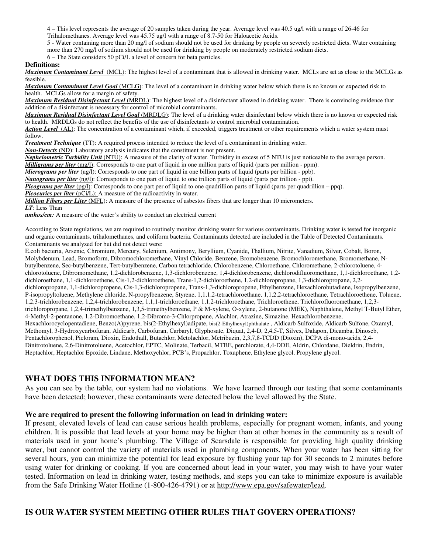4 – This level represents the average of 20 samples taken during the year. Average level was 40.5 ug/l with a range of 26-46 for

Trihalomethanes. Average level was 45.75 ug/l with a range of 8.7-50 for Haloacetic Acids.

5 - Water containing more than 20 mg/l of sodium should not be used for drinking by people on severely restricted diets. Water containing

more than 270 mg/l of sodium should not be used for drinking by people on moderately restricted sodium diets.

6 – The State considers 50 pCi/L a level of concern for beta particles.

#### **Definitions:**

*Maximum Contaminant Level* (MCL): The highest level of a contaminant that is allowed in drinking water. MCLs are set as close to the MCLGs as feasible.

*Maximum Contaminant Level Goal* (MCLG): The level of a contaminant in drinking water below which there is no known or expected risk to health. MCLGs allow for a margin of safety.

*Maximum Residual Disinfectant Level* (MRDL): The highest level of a disinfectant allowed in drinking water. There is convincing evidence that addition of a disinfectant is necessary for control of microbial contaminants.

*Maximum Residual Disinfectant Level Goal* (MRDLG): The level of a drinking water disinfectant below which there is no known or expected risk to health. MRDLGs do not reflect the benefits of the use of disinfectants to control microbial contamination.

*Action Level*(AL): The concentration of a contaminant which, if exceeded, triggers treatment or other requirements which a water system must follow.

*Treatment Technique* (TT): A required process intended to reduce the level of a contaminant in drinking water.

*Non-Detects* (ND): Laboratory analysis indicates that the constituent is not present.

*Nephelometric Turbidity Unit* (NTU): A measure of the clarity of water. Turbidity in excess of 5 NTU is just noticeable to the average person.

*Milligrams per liter* (mg/l): Corresponds to one part of liquid in one million parts of liquid (parts per million - ppm).

*Micrograms per liter* (ug/l): Corresponds to one part of liquid in one billion parts of liquid (parts per billion - ppb).

*Nanograms per liter* (ng/l): Corresponds to one part of liquid to one trillion parts of liquid (parts per trillion - ppt).

*Picograms per liter* (pg/l): Corresponds to one part per of liquid to one quadrillion parts of liquid (parts per quadrillion – ppq).

*Picocuries per liter* (pCi/L): A measure of the radioactivity in water.

*Million Fibers per Liter* (MFL): A measure of the presence of asbestos fibers that are longer than 10 micrometers. *LT*: Less Than

**umhos/cm:** A measure of the water's ability to conduct an electrical current

According to State regulations, we are required to routinely monitor drinking water for various contaminants. Drinking water is tested for inorganic and organic contaminants, trihalomethanes, and coliform bacteria. Contaminants detected are included in the Table of Detected Contaminants. Contaminants we analyzed for but did not detect were:

E.coli bacteria, Arsenic, Chromium, Mercury, Selenium, Antimony, Beryllium, Cyanide, Thallium, Nitrite, Vanadium, Silver, Cobalt, Boron, Molybdenum, Lead, Bromoform, Dibromochloromethane, Vinyl Chloride, Benzene, Bromobenzene, Bromochloromethane, Bromomethane, Nbutylbenzene, Sec-butylbenzene, Tert-butylbenzene, Carbon tetrachloride, Chlorobenzene, Chloroethane, Chloromethane, 2-chlorotoluene, 4 chlorotoluene, Dibromomethane, 1,2-dichlorobenzene, 1,3-dichlorobenzene, 1,4-dichlorobenzene, dichlorodifluoromethane, 1,1-dichloroethane, 1,2 dichloroethane, 1,1-dichloroethene, Cis-1,2-dichloroethene, Trans-1,2-dichloroethene, 1,2-dichloropropane, 1,3-dichloropropane, 2,2 dichloropropane, 1,1-dichloropropene, Cis-1,3-dichloropropene, Trans-1,3-dichloropropene, Ethylbenzene, Hexachlorobutadiene, Isopropylbenzene, P-isopropyltoluene, Methylene chloride, N-propylbenzene, Styrene, 1,1,1,2-tetrachloroethane, 1,1,2,2-tetrachloroethane, Tetrachloroethene, Toluene, 1,2,3-trichlorobenzene, 1,2,4-trichlorobenzene, 1,1,1-trichloroethane, 1,1,2-trichloroethane, Trichloroethene, Trichlorofluoromethane, 1,2,3 trichloropropane, 1,2,4-trimethylbenzene, 1,3,5-trimethylbenzene, P & M-xylene, O-xylene, 2-butanone (MEK), Naphthalene, Methyl T-Butyl Ether, 4-Methyl-2-pentanone, 1,2-Dibromoethane, 1,2-Dibromo-3-Chlorpropane, Alachlor, Atrazine, Simazine, Hexachlorobenzene, Hexachlorocyclopentadiene, Benzo(A)pyrene, bis(2-Ethylhexyl)adipate, bis(2-Ethylhexyl)phthalate , Aldicarb Sulfoxide, Aldicarb Sulfone, Oxamyl, Methomyl, 3-Hydroxycarbofuran, Aldicarb, Carbofuran, Carbaryl, Glyphosate, Diquat, 2,4-D, 2,4,5-T, Silvex, Dalapon, Dicamba, Dinoseb, Pentachlorophenol, Picloram, Dioxin, Endothall, Butachlor, Metolachlor, Metribuzin, 2,3,7,8-TCDD (Dioxin), DCPA di-mono-acids, 2,4- Dinitrotoluene, 2,6-Dinitrotoluene, Acetochlor, EPTC, Molinate, Terbacil, MTBE, perchlorate, 4,4-DDE, Aldrin, Chlordane, Dieldrin, Endrin, Heptachlor, Heptachlor Epoxide, Lindane, Methoxychlor, PCB's, Propachlor, Toxaphene, Ethylene glycol, Propylene glycol.

### **WHAT DOES THIS INFORMATION MEAN?**

As you can see by the table, our system had no violations. We have learned through our testing that some contaminants have been detected; however, these contaminants were detected below the level allowed by the State.

#### **We are required to present the following information on lead in drinking water:**

If present, elevated levels of lead can cause serious health problems, especially for pregnant women, infants, and young children. It is possible that lead levels at your home may be higher than at other homes in the community as a result of materials used in your home's plumbing. The Village of Scarsdale is responsible for providing high quality drinking water, but cannot control the variety of materials used in plumbing components. When your water has been sitting for several hours, you can minimize the potential for lead exposure by flushing your tap for 30 seconds to 2 minutes before using water for drinking or cooking. If you are concerned about lead in your water, you may wish to have your water tested. Information on lead in drinking water, testing methods, and steps you can take to minimize exposure is available from the Safe Drinking Water Hotline (1-800-426-4791) or at http://www.epa.gov/safewater/lead.

## **IS OUR WATER SYSTEM MEETING OTHER RULES THAT GOVERN OPERATIONS?**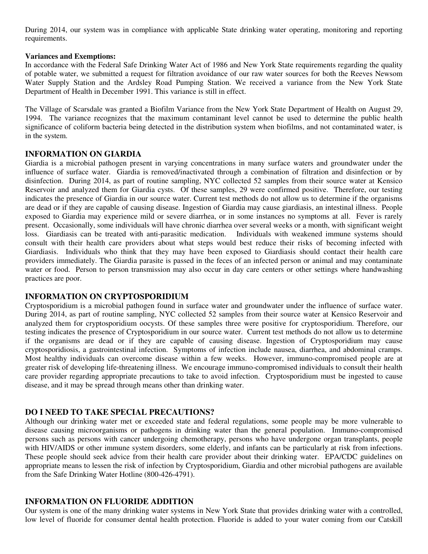During 2014, our system was in compliance with applicable State drinking water operating, monitoring and reporting requirements.

### **Variances and Exemptions:**

In accordance with the Federal Safe Drinking Water Act of 1986 and New York State requirements regarding the quality of potable water, we submitted a request for filtration avoidance of our raw water sources for both the Reeves Newsom Water Supply Station and the Ardsley Road Pumping Station. We received a variance from the New York State Department of Health in December 1991. This variance is still in effect.

The Village of Scarsdale was granted a Biofilm Variance from the New York State Department of Health on August 29, 1994. The variance recognizes that the maximum contaminant level cannot be used to determine the public health significance of coliform bacteria being detected in the distribution system when biofilms, and not contaminated water, is in the system.

## **INFORMATION ON GIARDIA**

Giardia is a microbial pathogen present in varying concentrations in many surface waters and groundwater under the influence of surface water. Giardia is removed/inactivated through a combination of filtration and disinfection or by disinfection. During 2014, as part of routine sampling, NYC collected 52 samples from their source water at Kensico Reservoir and analyzed them for Giardia cysts. Of these samples, 29 were confirmed positive. Therefore, our testing indicates the presence of Giardia in our source water. Current test methods do not allow us to determine if the organisms are dead or if they are capable of causing disease. Ingestion of Giardia may cause giardiasis, an intestinal illness. People exposed to Giardia may experience mild or severe diarrhea, or in some instances no symptoms at all. Fever is rarely present. Occasionally, some individuals will have chronic diarrhea over several weeks or a month, with significant weight loss. Giardiasis can be treated with anti-parasitic medication. Individuals with weakened immune systems should consult with their health care providers about what steps would best reduce their risks of becoming infected with Giardiasis. Individuals who think that they may have been exposed to Giardiasis should contact their health care providers immediately. The Giardia parasite is passed in the feces of an infected person or animal and may contaminate water or food. Person to person transmission may also occur in day care centers or other settings where handwashing practices are poor.

## **INFORMATION ON CRYPTOSPORIDIUM**

Cryptosporidium is a microbial pathogen found in surface water and groundwater under the influence of surface water. During 2014, as part of routine sampling, NYC collected 52 samples from their source water at Kensico Reservoir and analyzed them for cryptosporidium oocysts. Of these samples three were positive for cryptosporidium. Therefore, our testing indicates the presence of Cryptosporidium in our source water. Current test methods do not allow us to determine if the organisms are dead or if they are capable of causing disease. Ingestion of Cryptosporidium may cause cryptosporidiosis, a gastrointestinal infection. Symptoms of infection include nausea, diarrhea, and abdominal cramps. Most healthy individuals can overcome disease within a few weeks. However, immuno-compromised people are at greater risk of developing life-threatening illness. We encourage immuno-compromised individuals to consult their health care provider regarding appropriate precautions to take to avoid infection. Cryptosporidium must be ingested to cause disease, and it may be spread through means other than drinking water.

## **DO I NEED TO TAKE SPECIAL PRECAUTIONS?**

Although our drinking water met or exceeded state and federal regulations, some people may be more vulnerable to disease causing microorganisms or pathogens in drinking water than the general population. Immuno-compromised persons such as persons with cancer undergoing chemotherapy, persons who have undergone organ transplants, people with HIV/AIDS or other immune system disorders, some elderly, and infants can be particularly at risk from infections. These people should seek advice from their health care provider about their drinking water. EPA/CDC guidelines on appropriate means to lessen the risk of infection by Cryptosporidium, Giardia and other microbial pathogens are available from the Safe Drinking Water Hotline (800-426-4791).

## **INFORMATION ON FLUORIDE ADDITION**

Our system is one of the many drinking water systems in New York State that provides drinking water with a controlled, low level of fluoride for consumer dental health protection. Fluoride is added to your water coming from our Catskill